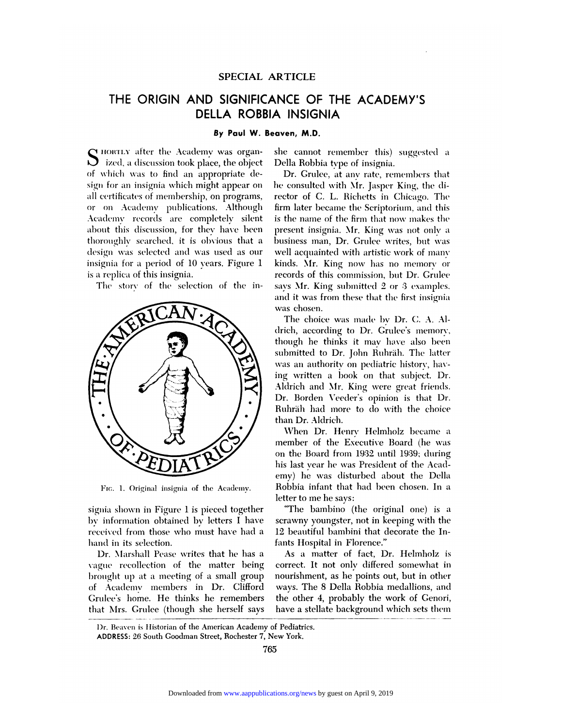### SPECIAL ARTICLE

# THE ORIGIN AND SIGNIFICANCE OF THE ACADEMY'S **DELLA ROBBIA INSIGNIA**

#### By Paul W. Beaven, M.D.

N HORTLY after the Academy was organ- $\sum$  ized, a discussion took place, the object of which was to find an appropriate design for an insignia which might appear on all certificates of membership, on programs, or on Academy publications. Although Academy records are completely silent about this discussion, for they have been thoroughly searched, it is obvious that a design was selected and was used as our insignia for a period of 10 years. Figure 1 is a replica of this insignia.

The story of the selection of the in-



FIG. 1. Original insignia of the Academy.

signia shown in Figure 1 is pieced together by information obtained by letters I have received from those who must have had a hand in its selection.

Dr. Marshall Pease writes that he has a vague recollection of the matter being brought up at a meeting of a small group of Academy members in Dr. Clifford Grulee's home. He thinks he remembers that Mrs. Grulee (though she herself says she cannot remember this) suggested a Della Robbia type of insignia.

Dr. Grulee, at any rate, remembers that he consulted with Mr. Jasper King, the director of C. L. Richetts in Chicago. The firm later became the Scriptorium, and this is the name of the firm that now makes the present insignia. Mr. King was not only a business man, Dr. Grulee writes, but was well acquainted with artistic work of many kinds. Mr. King now has no memory or records of this commission, but Dr. Grulee savs Mr. King submitted 2 or 3 examples, and it was from these that the first insignia was chosen.

The choice was made by Dr. C. A. Aldrich, according to Dr. Grulee's memory, though he thinks it may have also been submitted to Dr. John Ruhräh. The latter was an authority on pediatric history, having written a book on that subject. Dr. Aldrich and Mr. King were great friends. Dr. Borden Veeder's opinion is that Dr. Ruhräh had more to do with the choice than Dr. Aldrich.

When Dr. Henry Helmholz became a member of the Executive Board (he was on the Board from 1932 until 1939; during his last vear he was President of the Academy) he was disturbed about the Della Robbia infant that had been chosen. In a letter to me he says:

"The bambino (the original one) is a scrawny youngster, not in keeping with the 12 beautiful bambini that decorate the Infants Hospital in Florence."

As a matter of fact, Dr. Helmholz is correct. It not only differed somewhat in nourishment, as he points out, but in other ways. The 8 Della Robbia medallions, and the other 4, probably the work of Genori, have a stellate background which sets them

Dr. Beaven is Historian of the American Academy of Pediatrics. ADDRESS: 26 South Goodman Street, Rochester 7, New York.

765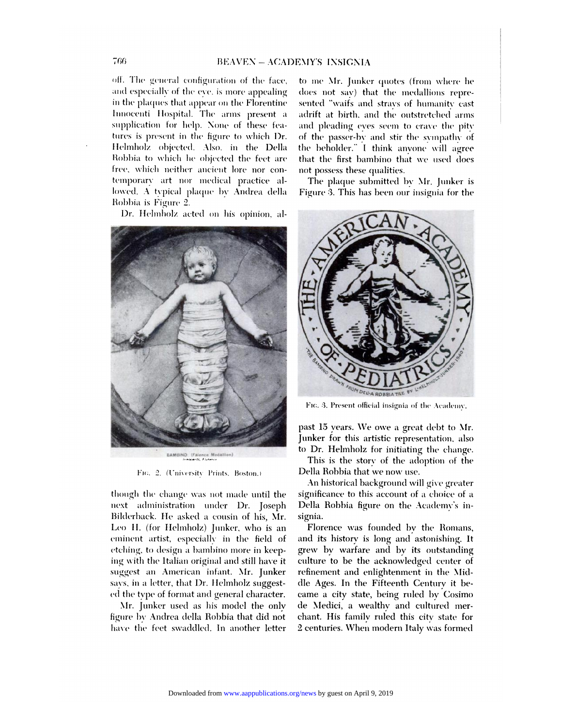off. The general configuration of the face, and especially of the eve, is more appealing in the plaques that appear on the Florentine Innocenti Hospital. The arms present a supplication for help. None of these features is present in the figure to which Dr. Helmholz objected. Also, in the Della Robbia to which he objected the feet are free, which neither ancient lore nor contemporary art nor medical practice allowed. A typical plaque by Andrea della Robbia is Figure 2.

Dr. Helmholz acted on his opinion, al-



Fig. 2. (University Prints, Boston.)

though the change was not made until the next administration under Dr. Joseph Bilderback. He asked a cousin of his, Mr. Leo H. (for Helmholz) Junker, who is an eminent artist, especially in the field of etching, to design a bambino more in keeping with the Italian original and still have it suggest an American infant. Mr. Junker says, in a letter, that Dr. Helmholz suggested the type of format and general character.

Mr. Junker used as his model the only figure by Andrea della Robbia that did not have the feet swaddled. In another letter

to me Mr. Junker quotes (from where he does not say) that the medallions represented "waifs and strays of humanity cast adrift at birth, and the outstretched arms and pleading eves seem to crave the pity of the passer-by and stir the sympathy of the beholder." I think anyone will agree that the first bambino that we used does not possess these qualities.

The plaque submitted by Mr. Junker is Figure 3. This has been our insignia for the



FIG. 3. Present official insignia of the Academy.

past 15 years. We owe a great debt to Mr. Junker for this artistic representation, also to Dr. Helmholz for initiating the change.

This is the story of the adoption of the Della Robbia that we now use.

An historical background will give greater significance to this account of a choice of a Della Robbia figure on the Academy's insignia.

Florence was founded by the Romans, and its history is long and astonishing. It grew by warfare and by its outstanding culture to be the acknowledged center of refinement and enlightenment in the Middle Ages. In the Fifteenth Century it became a city state, being ruled by Cosimo de Medici, a wealthy and cultured merchant. His family ruled this city state for 2 centuries. When modern Italy was formed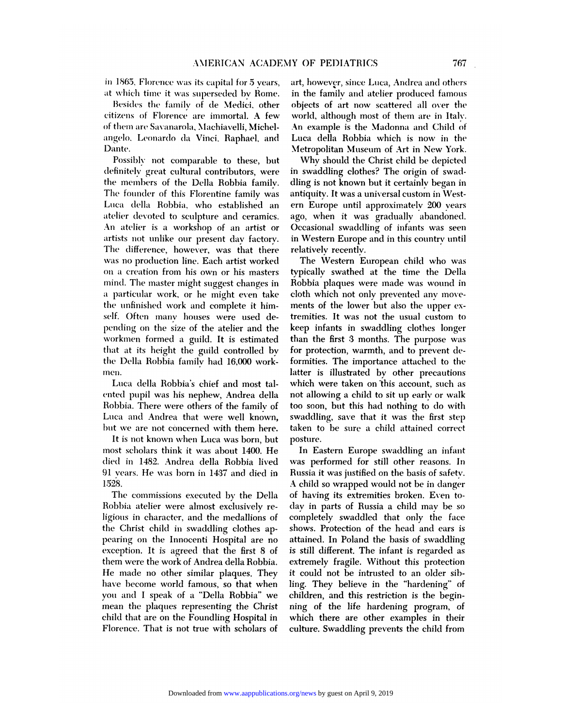in 1865, Florence was its capital for 5 years, at which time it was superseded by Rome.

Besides the family of de Medici, other citizens of Florence are immortal. A few of them are Savanarola, Machiavelli, Michelangelo, Leonardo da Vinci, Raphael, and Dante.

Possibly not comparable to these, but definitely great cultural contributors, were the members of the Della Robbia family. The founder of this Florentine family was Luca della Robbia, who established an atelier devoted to sculpture and ceramics. An atelier is a workshop of an artist or artists not unlike our present day factory. The difference, however, was that there was no production line. Each artist worked on a creation from his own or his masters mind. The master might suggest changes in a particular work, or he might even take the unfinished work and complete it himself. Often many houses were used depending on the size of the atelier and the workmen formed a guild. It is estimated that at its height the guild controlled by the Della Robbia family had 16,000 workmen.

Luca della Robbia's chief and most talented pupil was his nephew, Andrea della Robbia. There were others of the family of Luca and Andrea that were well known, but we are not concerned with them here.

It is not known when Luca was born, but most scholars think it was about 1400. He died in 1482. Andrea della Robbia lived 91 years. He was born in 1437 and died in 1528.

The commissions executed by the Della Robbia atelier were almost exclusively religious in character, and the medallions of the Christ child in swaddling clothes appearing on the Innocenti Hospital are no exception. It is agreed that the first 8 of them were the work of Andrea della Robbia. He made no other similar plaques. They have become world famous, so that when you and I speak of a "Della Robbia" we mean the plaques representing the Christ child that are on the Foundling Hospital in Florence. That is not true with scholars of art, however, since Luca, Andrea and others in the family and atelier produced famous objects of art now scattered all over the world, although most of them are in Italy. An example is the Madonna and Child of Luca della Robbia which is now in the Metropolitan Museum of Art in New York.

Why should the Christ child be depicted in swaddling clothes? The origin of swaddling is not known but it certainly began in antiquity. It was a universal custom in Western Europe until approximately 200 years ago, when it was gradually abandoned. Occasional swaddling of infants was seen in Western Europe and in this country until relatively recently.

The Western European child who was typically swathed at the time the Della Robbia plaques were made was wound in cloth which not only prevented any movements of the lower but also the upper extremities. It was not the usual custom to keep infants in swaddling clothes longer than the first 3 months. The purpose was for protection, warmth, and to prevent deformities. The importance attached to the latter is illustrated by other precautions which were taken on this account, such as not allowing a child to sit up early or walk too soon, but this had nothing to do with swaddling, save that it was the first step taken to be sure a child attained correct posture.

In Eastern Europe swaddling an infant was performed for still other reasons. In Russia it was justified on the basis of safety. A child so wrapped would not be in danger of having its extremities broken. Even today in parts of Russia a child may be so completely swaddled that only the face shows. Protection of the head and ears is attained. In Poland the basis of swaddling is still different. The infant is regarded as extremely fragile. Without this protection it could not be intrusted to an older sibling. They believe in the "hardening" of children, and this restriction is the beginning of the life hardening program, of which there are other examples in their culture. Swaddling prevents the child from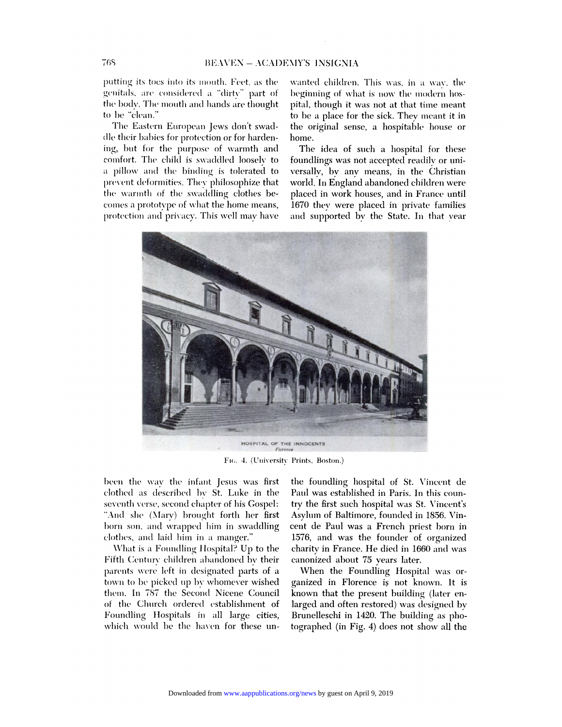putting its toes into its mouth. Feet, as the genitals, are considered a "dirty" part of the body. The mouth and hands are thought to be "clean."

The Eastern European Jews don't swaddle their babies for protection or for hardening, but for the purpose of warmth and comfort. The child is swaddled loosely to a pillow and the binding is tolerated to prevent deformities. They philosophize that the warmth of the swaddling clothes becomes a prototype of what the home means, protection and privacy. This well may have

wanted children. This was, in a way, the beginning of what is now the modern hospital, though it was not at that time meant to be a place for the sick. They meant it in the original sense, a hospitable house or home.

The idea of such a hospital for these foundlings was not accepted readily or universally, by any means, in the Christian world. In England abandoned children were placed in work houses, and in France until 1670 they were placed in private families and supported by the State. In that vear



FIG. 4. (University Prints, Boston.)

been the way the infant Jesus was first clothed as described by St. Luke in the seventh verse, second chapter of his Gospel: "And she (Mary) brought forth her first born son, and wrapped him in swaddling elothes, and laid him in a manger."

What is a Foundling Hospital? Up to the Fifth Century children abandoned by their parents were left in designated parts of a town to be picked up by whomever wished them. In 787 the Second Nicene Council of the Church ordered establishment of Foundling Hospitals in all large cities, which would be the haven for these unthe foundling hospital of St. Vincent de Paul was established in Paris. In this country the first such hospital was St. Vincent's Asylum of Baltimore, founded in 1856. Vincent de Paul was a French priest born in 1576, and was the founder of organized charity in France. He died in 1660 and was canonized about 75 years later.

When the Foundling Hospital was organized in Florence is not known. It is known that the present building (later enlarged and often restored) was designed by Brunelleschi in 1420. The building as photographed (in Fig. 4) does not show all the

768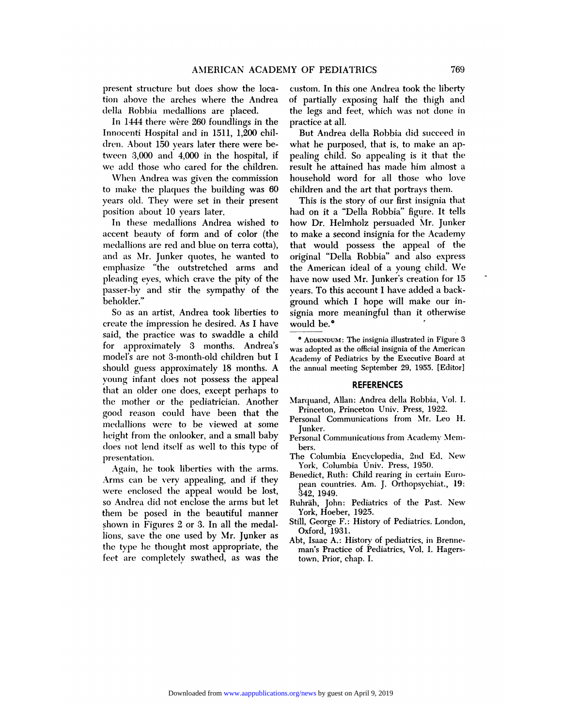AMERICAN ACADEM<br>
present structure but does show the loca-<br>
tion above the arches where the Andrea<br>
della Robbia medallions are placed. AMERICAN AC<br>present structure but does show the<br>tion above the arches where the An<br>della Robbia medallions are placed.<br>In 1444 there wère 260 foundlings ir esent structure but does show the loca-<br>
In above the arches where the Andrea of<br>
Ila Robbia medallions are placed.<br>
In 1444 there were 260 foundlings in the<br>
nocenti Hospital and in 1511, 1,200 chil-

present structure but does show the location<br>tion above the arches where the Andrea<br>della Robbia medallions are placed.<br>In 1444 there were 260 foundlings in the<br>Innocenti Hospital and in 1511, 1,200 chil<br>dren. About 150 ye della Robbia medallions are placed.<br>In 1444 there were 260 foundlings in the<br>Innocenti Hospital and in 1511, 1,200 chil-<br>dren. About 150 years later there were be-<br>tween 3,000 and 4,000 in the hospital, if In 1444 there were 260 foundlings in the<br>Innocenti Hospital and in 1511, 1,200 chil-<br>dren. About 150 years later there were be-<br>tween 3,000 and 4,000 in the hospital, if<br>we add those who cared for the children. Innocenti Hospital and in 1511, 1,200 children. About 150 years later there were between 3,000 and 4,000 in the hospital, if we add those who cared for the children.<br>When Andrea was given the commission to make the plaques

tween 3,000 and 4,000 in the hospital, if peach<br>we add those who cared for the children. rest<br>When Andrea was given the commission hou<br>to make the plaques the building was 60 chi<br>years old. They were set in their present we add those who cared for the children.<br>When Andrea was given the commission<br>to make the plaques the building was 60<br>years old. They were set in their present<br>position about 10 years later.<br>In these medallions Andrea wish

medallions are red and blue on terra cotta), that would possess the appeal of the years old. They were set in their present<br>position about 10 years later.<br>In these medallions Andrea wished to<br>accent beauty of form and of color (the<br>medallions are red and blue on terra cotta),<br>and as Mr. Junker quotes, h In these medallions Andrea wished to ho<br>accent beauty of form and of color (the to<br>medallions are red and blue on terra cotta), tha<br>and as Mr. Junker quotes, he wanted to ori<br>emphasize "the outstretched arms and the accent beauty of form and of color (the to<br>medallions are red and blue on terra cotta), th<br>and as Mr. Junker quotes, he wanted to or<br>emphasize "the outstretched arms and th<br>pleading eyes, which crave the pity of the ha<br>pas and as Mr. Junker quotes, he wanted to o<br>emphasize "the outstretched arms and the<br>pleading eyes, which crave the pity of the h<br>passer-by and stir the sympathy of the y<br>beholder." beholder."

peading eyes, which clave the phy of the<br>passer-by and stir the sympathy of the y<br>beholder." g<br>So as an artist, Andrea took liberties to<br>since the impression he desired. As I have<br>said, the practice was to swaddle a child passer-by and still the sympathy of the year-<br>beholder." gradies are artist, Andrea took liberties to<br>create the impression he desired. As I have we<br>said, the practice was to swaddle a child<br>for approximately 3 months. And So as an artist, Andrea took liberties to<br>create the impression he desired. As I have<br>said, the practice was to swaddle a child<br>for approximately 3 months. Andrea's<br>model's are not 3-month-old children but I create the impression he desired. As I have<br>said, the practice was to swaddle a child<br>for approximately 3 months. Andrea's was ade<br>model's are not 3-month-old children but I Academ<br>should guess approximately 18 months. A t for approximately 3 months. Andrea's was<br>model's are not 3-month-old children but I Aca<br>should guess approximately 18 months. A the<br>young infant does not possess the appeal<br>that an older one does, except perhaps to<br>the mot should guess approximately 18 months. A<br>young infant does not possess the appeal<br>that an older one does, except perhaps to<br>the mother or the pediatrician. Another young infant does not possess the appeal<br>that an older one does, except perhaps to<br>the mother or the pediatrician. Another Marquand, Allan: Andrea della Robbia, V<br>good reason could have been that the Personal Communication that an older one does, except perhaps to<br>the mother or the pediatrician. Another<br>good reason could have been that the<br>medallions were to be viewed at some<br>height from the onlooker, and a small baby the mother or the pediatrician. Another M<br>good reason could have been that the<br>medallions were to be viewed at some<br>height from the onlooker, and a small baby<br>does not lend itself as well to this type of good reason could have been that the<br>medallions were to be viewed at some<br>height from the onlooker, and a small baby<br>does not lend itself as well to this type of<br>presentation. presentation. Productions were to be viewed at some<br>ight from the onlooker, and a small baby<br>es not lend itself as well to this type of<br>esentation.<br>Again, he took liberties with the arms.<br>ms can be very appealing, and if they

Meet the different composer, and a small baby<br>does not lend itself as well to this type of<br>presentation.<br>Arms can be very appealing, and if they<br>were enclosed the appeal would be lost, does not lend itself as well to this type of<br>presentation.<br>Again, he took liberties with the arms.<br>Arms can be very appealing, and if they<br>were enclosed the appeal would be lost,<br>so Andrea did not enclose the arms but let Again, he took liberties with the arms.<br>Arms can be very appealing, and if they<br>were enclosed the appeal would be lost,<br>so Andrea did not enclose the arms but let<br>them be posed in the beautiful manner<br>shown in Figures 2 or Arms can be very appeanng, and it u<br>were enclosed the appeal would be k<br>so Andrea did not enclose the arms but<br>them be posed in the beautiful mani<br>shown in Figures 2 or 3. In all the med<br>lions, save the one used by Mr. Jun so Andrea did not enclose the arms but let<br>them be posed in the beautiful manner<br>shown in Figures 2 or 3. In all the medal-<br>lions, save the one used by Mr. Junker as<br>the type he thought most appropriate, the<br>feet are compl shown in Figures 2 or 3. In all the medal-<br>lions, save the one used by Mr. Junker as<br>the type he thought most appropriate, the<br>feet are completely swathed, as was the

**THE CHART SET OF PEDIATRICS**<br> **Custom. In this one Andrea took the liberty**<br>
of partially exposing half the thigh and IY OF PEDIATRICS 769<br>
custom. In this one Andrea took the liberty<br>
of partially exposing half the thigh and<br>
the legs and feet, which was not done in<br>
practice at all.<br>
But Andrea della Robbia did succeed in eustom. In this one Andrea dook the mberty<br>of partially exposing half the thigh and<br>the legs and feet, which was not done in<br>practice at all.<br>But Andrea della Robbia did succeed in<br>what he purposed, that is, to make an ap-

practice at all.<br>
But Andrea della Robbia did succeed in<br>
what he purposed, that is, to make an ap-<br>
pealing child. So appealing is it that the<br>
result he attained has made him almost a But Andrea della Robbia did succeed in<br>what he purposed, that is, to make an ap-<br>pealing child. So appealing is it that the<br>result he attained has made him almost a<br>household word for all those who love But Andrea deha Robbia did sidected in<br>what he purposed, that is, to make an ap-<br>pealing child. So appealing is it that the<br>result he attained has made him almost a<br>household word for all those who love<br>children and the ar what he purposed, that is, to make an appealing child. So appealing is it that the result he attained has made him almost a household word for all those who love children and the art that portrays them.<br>This is the story o anny ennd. So appeanny is it that the<br>sult he attained has made him almost a<br>usehold word for all those who love<br>ildren and the art that portrays them.<br>This is the story of our first insignia that<br>d on it a "Della Robbia"

to make the plaques the building was 60 children and the art that portrays them.<br>
years old. They were set in their present This is the story of our first insignia that<br>
position about 10 years later. In these medallions A emphasize "the outstretched arms and the American ideal of a young child. We pleading eyes, which crave the pity of the have now used Mr. Junker's creation for 15 passer-by and stir the sympathy of the years. To this accou household word for all those who love<br>children and the art that portrays them.<br>This is the story of our first insignia that<br>had on it a "Della Robbia" figure. It tells<br>how Dr. Helmholz persuaded Mr. Junker mousehold word for all those who love<br>children and the art that portrays them.<br>This is the story of our first insignia that<br>had on it a "Della Robbia" figure. It tells<br>how Dr. Helmholz persuaded Mr. Junker<br>to make a second emidien and the art that portrays them.<br>This is the story of our first insignia that<br>had on it a "Della Robbia" figure. It tells<br>how Dr. Helmholz persuaded Mr. Junker<br>to make a second insignia for the Academy<br>that would po This is the story of our lifts insignatinated<br>had on it a "Della Robbia" figure. It tells<br>how Dr. Helmholz persuaded Mr. Junker<br>to make a second insignia for the Academy<br>that would possess the appeal of the<br>original "Della nad on it a Dena Robbia Inglie. It tens<br>how Dr. Helmholz persuaded Mr. Junker<br>to make a second insignia for the Academy<br>that would possess the appeal of the<br>original "Della Robbia" and also express<br>the American ideal of a How Dr. Hemmoiz persuated Mr. Junker<br>to make a second insignia for the Academy<br>that would possess the appeal of the<br>original "Della Robbia" and also express<br>the American ideal of a young child. We<br>have now used Mr. Junker' that would possess the appeal of the<br>original "Della Robbia" and also express<br>the American ideal of a young child. We<br>have now used Mr. Junker's creation for 15<br>years. To this account I have added a backoriginal "Della Robbia" and also expre<br>the American ideal of a young child. W<br>have now used Mr. Junker's creation for l<br>years. To this account I have added a back<br>ground which I hope will make our is original Dena Robbia and also express<br>the American ideal of a young child. We<br>have now used Mr. Junker's creation for 15<br>years. To this account I have added a back-<br>ground which I hope will make our in-<br>signia more meaning have now used Mr. Junker's creation for 15 ground which I hope will make our in-<br>signia more meaningful than it otherwise<br>would be.  $\bullet$ <br> $\bullet$  ADDENDUM: The insignia illustrated in Figure 3 **b**<br>**a a ADDENDUM:** The insignia illustrated in Figure 3<br>**a ADDENDUM:** The insignia illustrated in Figure 3<br>is adopted as the official insignia of the American

was adopted as the official insignia of time American WOULD **be.**<br>
• ADDENDUM: The insignia illustrated in Figure 3<br>
was adopted as the official insignia of the American<br>
Academy of Pediatrics by the Executive Board at<br>
the annual meeting September 29, 1955. [Editor] THE SEPTEMBER ON THE insignia illustrated in Figure 3<br>was adopted as the official insignia of the American<br>Academy of Pediatrics by the Executive Board at<br>the annual meeting September 29, 1955. [Editor]

#### **REFERENCES**

- Marcaleliny of Fedinates by the Energy Control at<br>the annual meeting September 29, 1955. [Editor]<br>Narquand, Allan: Andrea della Robbia, Vol. I.<br>Princeton, Princeton Univ. Press, 1922. Princeton, Princeton, Princeton, Princeton, Princeton, Princeton, Princeton, Princeton, Princeton, Princeton, Princeton, Princeton, Princeton, Princeton, Princeton, Princeton, Princeton, Princeton, Princeton, Princeton, Pr
- REFERENCES<br>
Marquand, Allan: Andrea della Robbia, Vol. I.<br>
Princeton, Princeton Univ. Press, 1922.<br>
Personal Communications from Mr. Leo H.<br>
Junker. Junker. Marquand, Allan: Andrea della Robbia, Vol. 1<br>Princeton, Princeton Univ. Press, 1922.<br>Personal Communications from Mr. Leo H<br>Junker.<br>Personal Communications from Academy Mem<br>bers. Personal Communications from Mr. Leo H.<br>Junker.<br>Personal Communications from Academy Members.<br>The Columbia Encyclopedia, 2nd Ed. New<br>York, Columbia Univ. Press, 1950.
- bers.
- 
- Junker.<br>Personal Communications from Academy Members.<br>The Columbia Encyclopedia, 2nd Ed. New<br>York, Columbia Univ. Press, 1950.<br>Benedict, Ruth: Child rearing in certain Euro-<br>pean countries. Am. J. Orthopsychiat., 19:<br>342, The Columbia Encyclopedia, 2nd Ed. New<br>York, Columbia Univ. Press, 1950.<br>Benedict, Ruth: Child rearing in certain Euro-<br>pean countries. Am. J. Orthopsychiat., 19:<br>342, 1949.<br>Ruhräh, John: Pediatrics of the Past. New<br>York, Form, Columbus<br>Financountries. Am.<br>342, 1949.<br>Inräh, John: Pediatrie<br>York, Hoeber, 1925.<br>Ill, George F.: History
- pean countries. Am. J. Orthopsychiat., 19:<br>
342, 1949.<br>
Ruhräh, John: Pediatrics of the Past. New<br>
York, Hoeber, 1925.<br>
Still, George F.: History of Pediatrics. London,<br>
Oxford, 1931.<br>
Abt, Isaac A.: History of pediatrics,
- 
- Ruhräh, John: Pediatrics of the Past. Ne<br>York, Hoeber, 1925.<br>Still, George F.: History of Pediatrics. Londo<br>Oxford, 1931.<br>Abt, Isaac A.: History of pediatrics, in Brenn<br>man's Practice of Pediatrics, Vol. I. Hager man's Point 19925.<br>
Tork, Hoeber, 1925.<br>
Ill, George F.: History of Pediatrics. Lond<br>
Oxford, 1931.<br>
M. Isaac A.: History of pediatrics, in Breni<br>
man's Practice of Pediatrics, Vol. I. Hage<br>
town, Prior, chap. I. Friday, Frances, Frances<br>Ill, George F.: History of<br>Oxford, 1931.<br>It, Isaac A.: History of<br>man's Practice of Pedia<br>town, Prior, chap. I.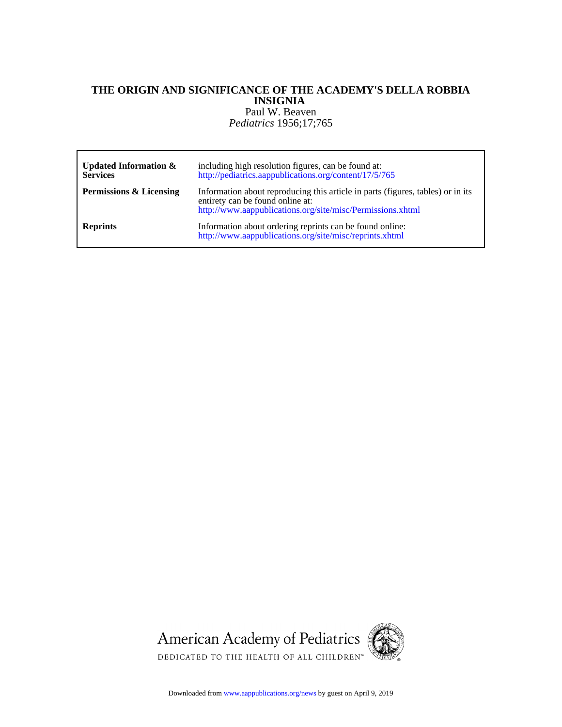# *Pediatrics* 1956;17;765 Paul W. Beaven **INSIGNIA THE ORIGIN AND SIGNIFICANCE OF THE ACADEMY'S DELLA ROBBIA**

| <b>Updated Information &amp;</b><br><b>Services</b> | including high resolution figures, can be found at:<br>http://pediatrics.aappublications.org/content/17/5/765                                                                     |
|-----------------------------------------------------|-----------------------------------------------------------------------------------------------------------------------------------------------------------------------------------|
| Permissions & Licensing                             | Information about reproducing this article in parts (figures, tables) or in its<br>entirety can be found online at:<br>http://www.aappublications.org/site/misc/Permissions.xhtml |
| <b>Reprints</b>                                     | Information about ordering reprints can be found online:<br>http://www.aappublications.org/site/misc/reprints.xhtml                                                               |



Downloaded from www.aappublications.org/news by guest on April 9, 2019